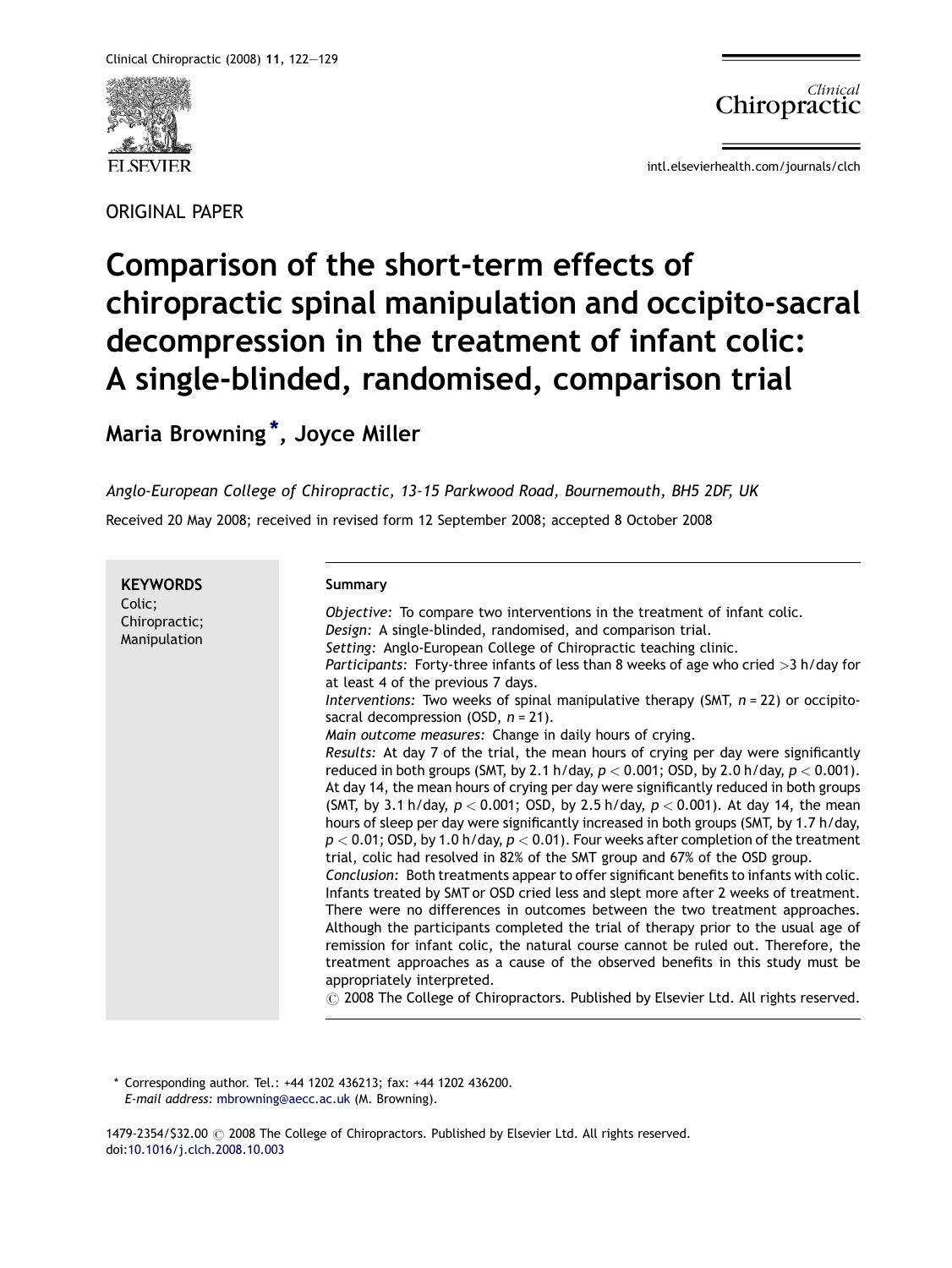

ORIGINAL PAPER

Clinical Chiropractic

intl.elsevierhealth.com/journals/clch

# Comparison of the short-term effects of chiropractic spinal manipulation and occipito-sacral decompression in the treatment of infant colic: A single-blinded, randomised, comparison trial

Maria Browning \*, Joyce Miller

Anglo-European College of Chiropractic, 13-15 Parkwood Road, Bournemouth, BH5 2DF, UK Received 20 May 2008; received in revised form 12 September 2008; accepted 8 October 2008

| <b>KEYWORDS</b>                         | Summary                                                                                                                                                                                                                                                                                                                                                                                                                                                                                                                                                                                                                                                                                                                                                                                                                                                                                                                                                                                                                                                                                                                                                                                                                                                                                                                                                                                                                                                                                                                                                                                                                                                                                                                   |
|-----------------------------------------|---------------------------------------------------------------------------------------------------------------------------------------------------------------------------------------------------------------------------------------------------------------------------------------------------------------------------------------------------------------------------------------------------------------------------------------------------------------------------------------------------------------------------------------------------------------------------------------------------------------------------------------------------------------------------------------------------------------------------------------------------------------------------------------------------------------------------------------------------------------------------------------------------------------------------------------------------------------------------------------------------------------------------------------------------------------------------------------------------------------------------------------------------------------------------------------------------------------------------------------------------------------------------------------------------------------------------------------------------------------------------------------------------------------------------------------------------------------------------------------------------------------------------------------------------------------------------------------------------------------------------------------------------------------------------------------------------------------------------|
| Colic:<br>Chiropractic;<br>Manipulation | Objective: To compare two interventions in the treatment of infant colic.<br>Design: A single-blinded, randomised, and comparison trial.<br>Setting: Anglo-European College of Chiropractic teaching clinic.<br>Participants: Forty-three infants of less than 8 weeks of age who cried $>3$ h/day for<br>at least 4 of the previous 7 days.<br>Interventions: Two weeks of spinal manipulative therapy (SMT, $n = 22$ ) or occipito-<br>sacral decompression (OSD, $n = 21$ ).<br>Main outcome measures: Change in daily hours of crying.<br>Results: At day 7 of the trial, the mean hours of crying per day were significantly<br>reduced in both groups (SMT, by 2.1 h/day, $p < 0.001$ ; OSD, by 2.0 h/day, $p < 0.001$ ).<br>At day 14, the mean hours of crying per day were significantly reduced in both groups<br>(SMT, by 3.1 h/day, $p < 0.001$ ; OSD, by 2.5 h/day, $p < 0.001$ ). At day 14, the mean<br>hours of sleep per day were significantly increased in both groups (SMT, by 1.7 h/day,<br>$p < 0.01$ ; OSD, by 1.0 h/day, $p < 0.01$ ). Four weeks after completion of the treatment<br>trial, colic had resolved in 82% of the SMT group and 67% of the OSD group.<br>Conclusion: Both treatments appear to offer significant benefits to infants with colic.<br>Infants treated by SMT or OSD cried less and slept more after 2 weeks of treatment.<br>There were no differences in outcomes between the two treatment approaches.<br>Although the participants completed the trial of therapy prior to the usual age of<br>remission for infant colic, the natural course cannot be ruled out. Therefore, the<br>treatment approaches as a cause of the observed benefits in this study must be |
|                                         | appropriately interpreted.<br>© 2008 The College of Chiropractors. Published by Elsevier Ltd. All rights reserved.                                                                                                                                                                                                                                                                                                                                                                                                                                                                                                                                                                                                                                                                                                                                                                                                                                                                                                                                                                                                                                                                                                                                                                                                                                                                                                                                                                                                                                                                                                                                                                                                        |

\* Corresponding author. Tel.: +44 1202 436213; fax: +44 1202 436200. E-mail address: [mbrowning@aecc.ac.uk](mailto:mbrowning@aecc.ac.uk) (M. Browning).

1479-2354/\$32.00 @ 2008 The College of Chiropractors. Published by Elsevier Ltd. All rights reserved. doi[:10.1016/j.clch.2008.10.003](http://dx.doi.org/10.1016/j.clch.2008.10.003)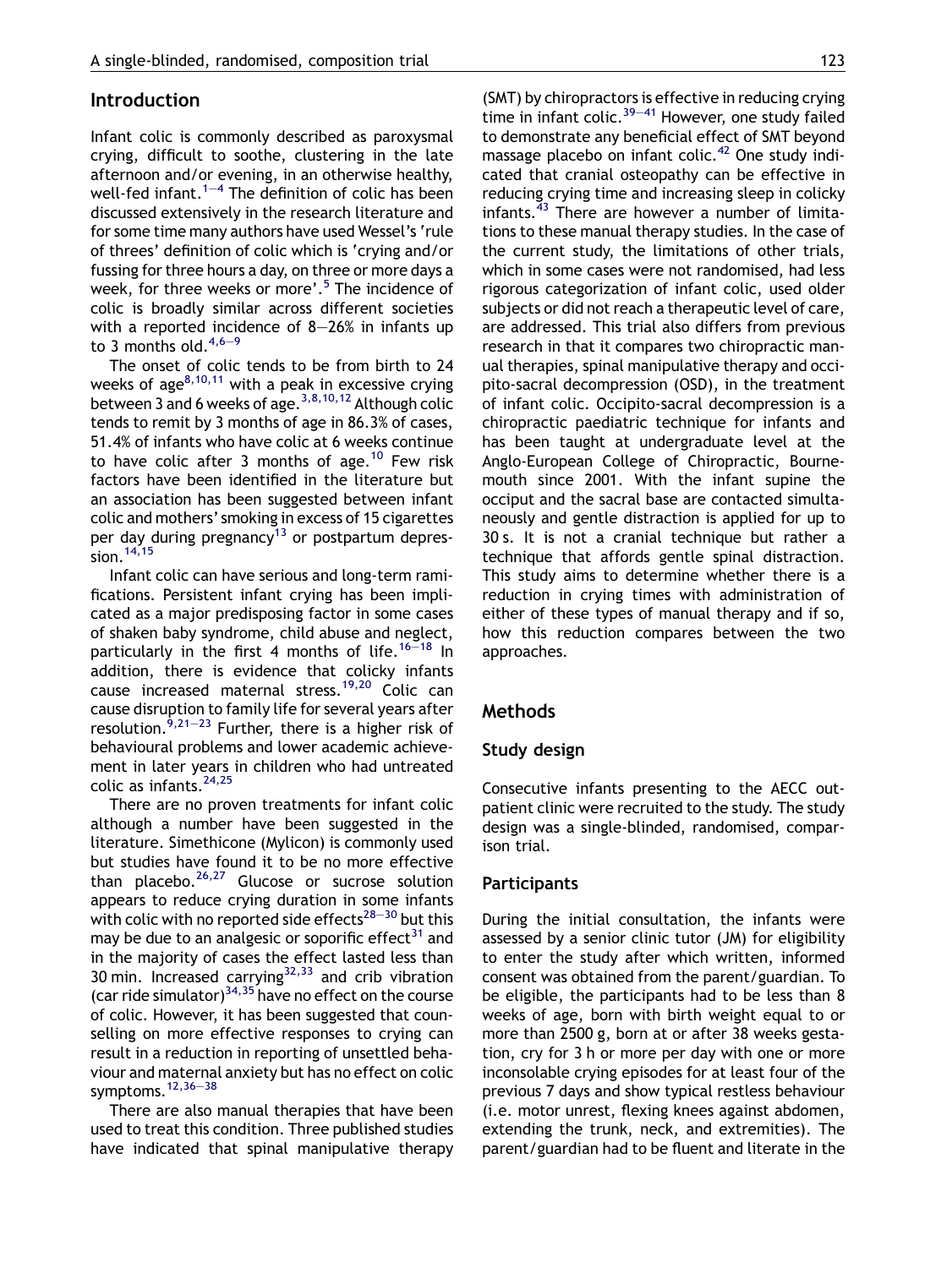# Introduction

Infant colic is commonly described as paroxysmal crying, difficult to soothe, clustering in the late afternoon and/or evening, in an otherwise healthy, well-fed infant.<sup>[1—4](#page-6-0)</sup> The definition of colic has been discussed extensively in the research literature and for some time many authors have used Wessel's 'rule of threes' definition of colic which is 'crying and/or fussing for three hours a day, on three or more days a week, for three weeks or more'.<sup>[5](#page-6-0)</sup> The incidence of colic is broadly similar across different societies with a reported incidence of 8—26% in infants up to 3 months old. $4,6-9$ 

The onset of colic tends to be from birth to 24 weeks of age $8,10,11$  with a peak in excessive crying between 3 and 6 weeks of age.  $3,8,10,12$  Although colic tends to remit by 3 months of age in 86.3% of cases, 51.4% of infants who have colic at 6 weeks continue to have colic after 3 months of age.<sup>[10](#page-6-0)</sup> Few risk factors have been identified in the literature but an association has been suggested between infant colic and mothers' smoking in excess of 15 cigarettes per day during pregnancy<sup>[13](#page-6-0)</sup> or postpartum depres-sion.<sup>[14,15](#page-6-0)</sup>

Infant colic can have serious and long-term ramifications. Persistent infant crying has been implicated as a major predisposing factor in some cases of shaken baby syndrome, child abuse and neglect, particularly in the first 4 months of life.<sup>16-18</sup> In addition, there is evidence that colicky infants cause increased maternal stress.[19,20](#page-6-0) Colic can cause disruption to family life for several years after resolution.<sup>9,21–23</sup> Further, there is a higher risk of behavioural problems and lower academic achievement in later years in children who had untreated colic as infants.<sup>[24,25](#page-7-0)</sup>

There are no proven treatments for infant colic although a number have been suggested in the literature. Simethicone (Mylicon) is commonly used but studies have found it to be no more effective than placebo. $26,27$  Glucose or sucrose solution appears to reduce crying duration in some infants with colic with no reported side effects<sup>28–30</sup> but this may be due to an analgesic or soporific effect $31$  and in the majority of cases the effect lasted less than 30 min. Increased carrying $32,33$  and crib vibration (car ride simulator)<sup>[34,35](#page-7-0)</sup> have no effect on the course of colic. However, it has been suggested that counselling on more effective responses to crying can result in a reduction in reporting of unsettled behaviour and maternal anxiety but has no effect on colic symptoms.<sup>12,36-38</sup>

There are also manual therapies that have been used to treat this condition. Three published studies have indicated that spinal manipulative therapy (SMT) by chiropractors is effective in reducing crying time in infant colic. $39-41$  However, one study failed to demonstrate any beneficial effect of SMT beyond massage placebo on infant colic[.42](#page-7-0) One study indicated that cranial osteopathy can be effective in reducing crying time and increasing sleep in colicky infants. $43$  There are however a number of limitations to these manual therapy studies. In the case of the current study, the limitations of other trials, which in some cases were not randomised, had less rigorous categorization of infant colic, used older subjects or did not reach a therapeutic level of care, are addressed. This trial also differs from previous research in that it compares two chiropractic manual therapies, spinal manipulative therapy and occipito-sacral decompression (OSD), in the treatment of infant colic. Occipito-sacral decompression is a chiropractic paediatric technique for infants and has been taught at undergraduate level at the Anglo-European College of Chiropractic, Bournemouth since 2001. With the infant supine the occiput and the sacral base are contacted simultaneously and gentle distraction is applied for up to 30 s. It is not a cranial technique but rather a technique that affords gentle spinal distraction. This study aims to determine whether there is a reduction in crying times with administration of either of these types of manual therapy and if so, how this reduction compares between the two approaches.

# Methods

## Study design

Consecutive infants presenting to the AECC outpatient clinic were recruited to the study. The study design was a single-blinded, randomised, comparison trial.

## **Participants**

During the initial consultation, the infants were assessed by a senior clinic tutor (JM) for eligibility to enter the study after which written, informed consent was obtained from the parent/guardian. To be eligible, the participants had to be less than 8 weeks of age, born with birth weight equal to or more than 2500 g, born at or after 38 weeks gestation, cry for 3 h or more per day with one or more inconsolable crying episodes for at least four of the previous 7 days and show typical restless behaviour (i.e. motor unrest, flexing knees against abdomen, extending the trunk, neck, and extremities). The parent/guardian had to be fluent and literate in the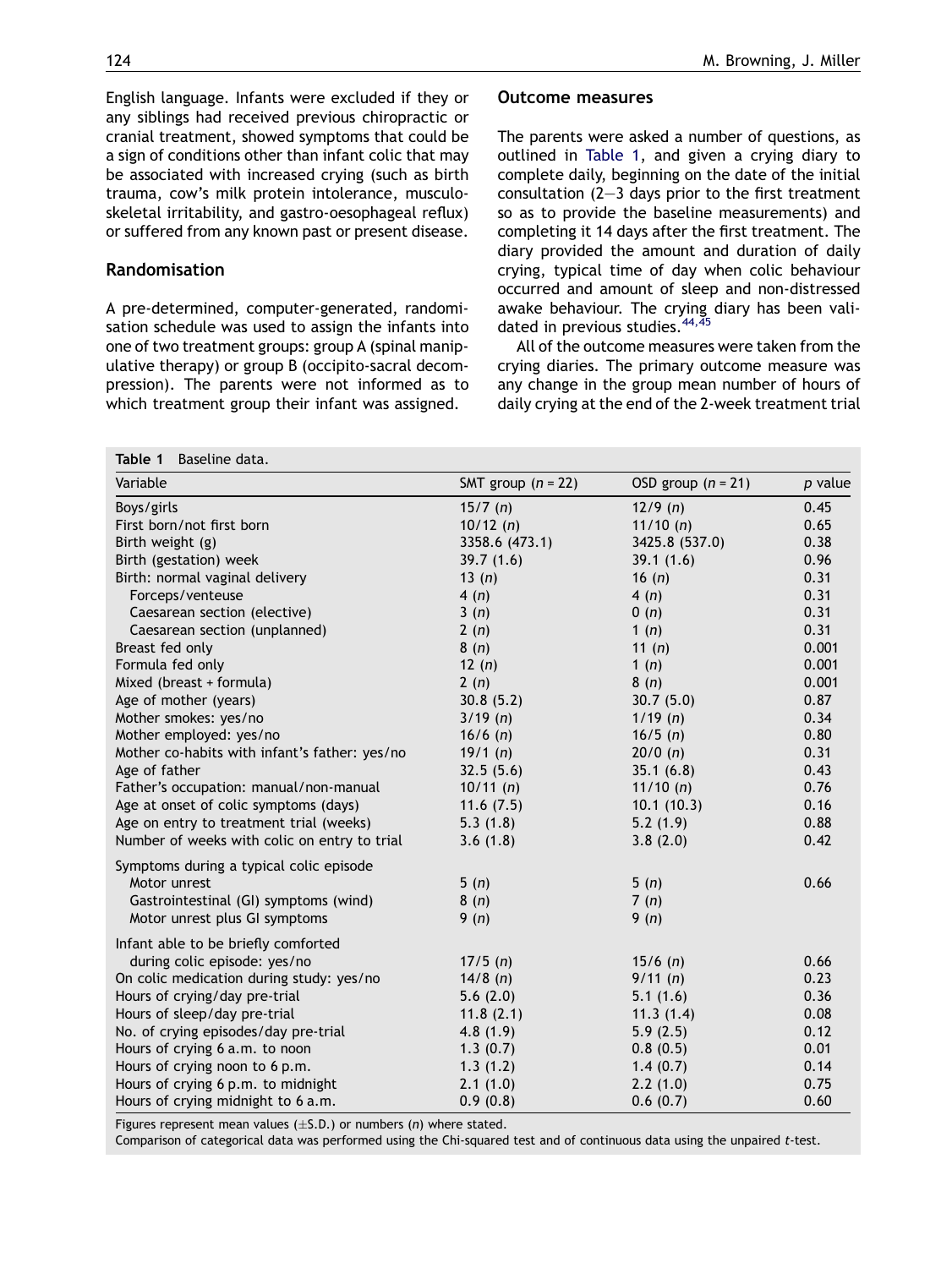<span id="page-2-0"></span>English language. Infants were excluded if they or any siblings had received previous chiropractic or cranial treatment, showed symptoms that could be a sign of conditions other than infant colic that may be associated with increased crying (such as birth trauma, cow's milk protein intolerance, musculoskeletal irritability, and gastro-oesophageal reflux) or suffered from any known past or present disease.

# Randomisation

A pre-determined, computer-generated, randomisation schedule was used to assign the infants into one of two treatment groups: group A (spinal manipulative therapy) or group B (occipito-sacral decompression). The parents were not informed as to which treatment group their infant was assigned.

#### Outcome measures

The parents were asked a number of questions, as outlined in Table 1, and given a crying diary to complete daily, beginning on the date of the initial consultation (2—3 days prior to the first treatment so as to provide the baseline measurements) and completing it 14 days after the first treatment. The diary provided the amount and duration of daily crying, typical time of day when colic behaviour occurred and amount of sleep and non-distressed awake behaviour. The crying diary has been validated in previous studies.  $44,45$ 

All of the outcome measures were taken from the crying diaries. The primary outcome measure was any change in the group mean number of hours of daily crying at the end of the 2-week treatment trial

| Baseline data.<br>Table 1                     |                      |                      |           |
|-----------------------------------------------|----------------------|----------------------|-----------|
| Variable                                      | SMT group $(n = 22)$ | OSD group $(n = 21)$ | $p$ value |
| Boys/girls                                    | 15/7(n)              | 12/9(n)              | 0.45      |
| First born/not first born                     | 10/12(n)             | 11/10(n)             | 0.65      |
| Birth weight (g)                              | 3358.6 (473.1)       | 3425.8 (537.0)       | 0.38      |
| Birth (gestation) week                        | 39.7(1.6)            | 39.1(1.6)            | 0.96      |
| Birth: normal vaginal delivery                | 13 $(n)$             | 16(n)                | 0.31      |
| Forceps/venteuse                              | 4(n)                 | 4(n)                 | 0.31      |
| Caesarean section (elective)                  | 3(n)                 | 0(n)                 | 0.31      |
| Caesarean section (unplanned)                 | 2(n)                 | 1(n)                 | 0.31      |
| Breast fed only                               | 8(n)                 | 11 $(n)$             | 0.001     |
| Formula fed only                              | 12 $(n)$             | 1(n)                 | 0.001     |
| Mixed (breast + formula)                      | 2(n)                 | 8(n)                 | 0.001     |
| Age of mother (years)                         | 30.8(5.2)            | 30.7(5.0)            | 0.87      |
| Mother smokes: yes/no                         | 3/19(n)              | 1/19(n)              | 0.34      |
| Mother employed: yes/no                       | $16/6$ (n)           | 16/5(n)              | 0.80      |
| Mother co-habits with infant's father: yes/no | 19/1(n)              | 20/0(n)              | 0.31      |
| Age of father                                 | 32.5(5.6)            | 35.1(6.8)            | 0.43      |
| Father's occupation: manual/non-manual        | 10/11(n)             | 11/10(n)             | 0.76      |
| Age at onset of colic symptoms (days)         | 11.6(7.5)            | 10.1(10.3)           | 0.16      |
| Age on entry to treatment trial (weeks)       | 5.3(1.8)             | 5.2(1.9)             | 0.88      |
| Number of weeks with colic on entry to trial  | 3.6(1.8)             | 3.8(2.0)             | 0.42      |
| Symptoms during a typical colic episode       |                      |                      |           |
| Motor unrest                                  | 5(n)                 | 5(n)                 | 0.66      |
| Gastrointestinal (GI) symptoms (wind)         | 8(n)                 | 7(n)                 |           |
| Motor unrest plus GI symptoms                 | 9(n)                 | 9(n)                 |           |
| Infant able to be briefly comforted           |                      |                      |           |
| during colic episode: yes/no                  | 17/5(n)              | $15/6$ (n)           | 0.66      |
| On colic medication during study: yes/no      | $14/8$ (n)           | 9/11(n)              | 0.23      |
| Hours of crying/day pre-trial                 | 5.6(2.0)             | 5.1(1.6)             | 0.36      |
| Hours of sleep/day pre-trial                  | 11.8(2.1)            | 11.3(1.4)            | 0.08      |
| No. of crying episodes/day pre-trial          | 4.8(1.9)             | 5.9(2.5)             | 0.12      |
| Hours of crying 6 a.m. to noon                | 1.3(0.7)             | 0.8(0.5)             | 0.01      |
| Hours of crying noon to 6 p.m.                | 1.3(1.2)             | 1.4(0.7)             | 0.14      |
| Hours of crying 6 p.m. to midnight            | 2.1(1.0)             | 2.2(1.0)             | 0.75      |
| Hours of crying midnight to 6 a.m.            | 0.9(0.8)             | 0.6(0.7)             | 0.60      |

Figures represent mean values ( $\pm$ S.D.) or numbers (n) where stated.

Comparison of categorical data was performed using the Chi-squared test and of continuous data using the unpaired t-test.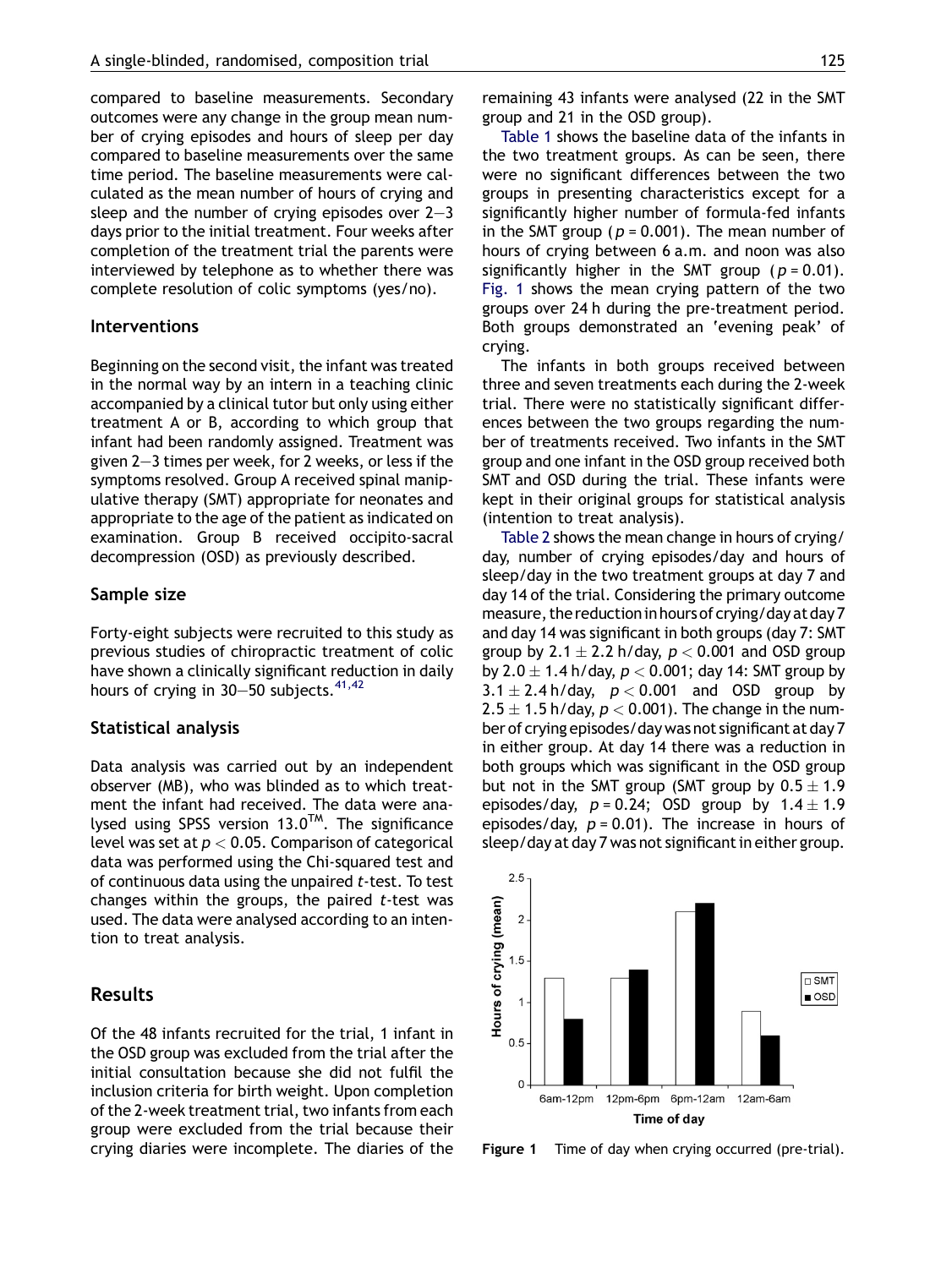compared to baseline measurements. Secondary outcomes were any change in the group mean number of crying episodes and hours of sleep per day compared to baseline measurements over the same time period. The baseline measurements were calculated as the mean number of hours of crying and sleep and the number of crying episodes over 2—3 days prior to the initial treatment. Four weeks after completion of the treatment trial the parents were interviewed by telephone as to whether there was complete resolution of colic symptoms (yes/no).

#### Interventions

Beginning on the second visit, the infant was treated in the normal way by an intern in a teaching clinic accompanied by a clinical tutor but only using either treatment A or B, according to which group that infant had been randomly assigned. Treatment was given 2—3 times per week, for 2 weeks, or less if the symptoms resolved. Group A received spinal manipulative therapy (SMT) appropriate for neonates and appropriate to the age of the patient as indicated on examination. Group B received occipito-sacral decompression (OSD) as previously described.

#### Sample size

Forty-eight subjects were recruited to this study as previous studies of chiropractic treatment of colic have shown a clinically significant reduction in daily hours of crying in  $30-50$  subjects.<sup>[41,42](#page-7-0)</sup>

#### Statistical analysis

Data analysis was carried out by an independent observer (MB), who was blinded as to which treatment the infant had received. The data were analysed using SPSS version  $13.0^{TM}$ . The significance level was set at  $p < 0.05$ . Comparison of categorical data was performed using the Chi-squared test and of continuous data using the unpaired  $t$ -test. To test changes within the groups, the paired  $t$ -test was used. The data were analysed according to an intention to treat analysis.

# Results

Of the 48 infants recruited for the trial, 1 infant in the OSD group was excluded from the trial after the initial consultation because she did not fulfil the inclusion criteria for birth weight. Upon completion of the 2-week treatment trial, two infants from each group were excluded from the trial because their crying diaries were incomplete. The diaries of the remaining 43 infants were analysed (22 in the SMT group and 21 in the OSD group).

[Table 1](#page-2-0) shows the baseline data of the infants in the two treatment groups. As can be seen, there were no significant differences between the two groups in presenting characteristics except for a significantly higher number of formula-fed infants in the SMT group ( $p = 0.001$ ). The mean number of hours of crying between 6 a.m. and noon was also significantly higher in the SMT group ( $p = 0.01$ ). Fig. 1 shows the mean crying pattern of the two groups over 24 h during the pre-treatment period. Both groups demonstrated an 'evening peak' of crying.

The infants in both groups received between three and seven treatments each during the 2-week trial. There were no statistically significant differences between the two groups regarding the number of treatments received. Two infants in the SMT group and one infant in the OSD group received both SMT and OSD during the trial. These infants were kept in their original groups for statistical analysis (intention to treat analysis).

[Table 2](#page-4-0) shows the mean change in hours of crying/ day, number of crying episodes/day and hours of sleep/day in the two treatment groups at day 7 and day 14 of the trial. Considering the primary outcome measure, the reduction in hours of crying/day at day 7 and day 14 was significant in both groups (day 7: SMT group by 2.1  $\pm$  2.2 h/day,  $p$   $<$  0.001 and OSD group by 2.0  $\pm$  1.4 h/day,  $p$   $<$  0.001; day 14: SMT group by  $3.1 \pm 2.4$  h/day,  $p < 0.001$  and OSD group by 2.5  $\pm$  1.5 h/day,  $p$   $<$  0.001). The change in the number of crying episodes/day was not significant at day 7 in either group. At day 14 there was a reduction in both groups which was significant in the OSD group but not in the SMT group (SMT group by 0.5  $\pm$  1.9  $\,$ episodes/day,  $p$  = 0.24; OSD group by 1.4  $\pm$  1.9 episodes/day,  $p = 0.01$ ). The increase in hours of sleep/day at day 7 was not significant in either group.



Figure 1 Time of day when crying occurred (pre-trial).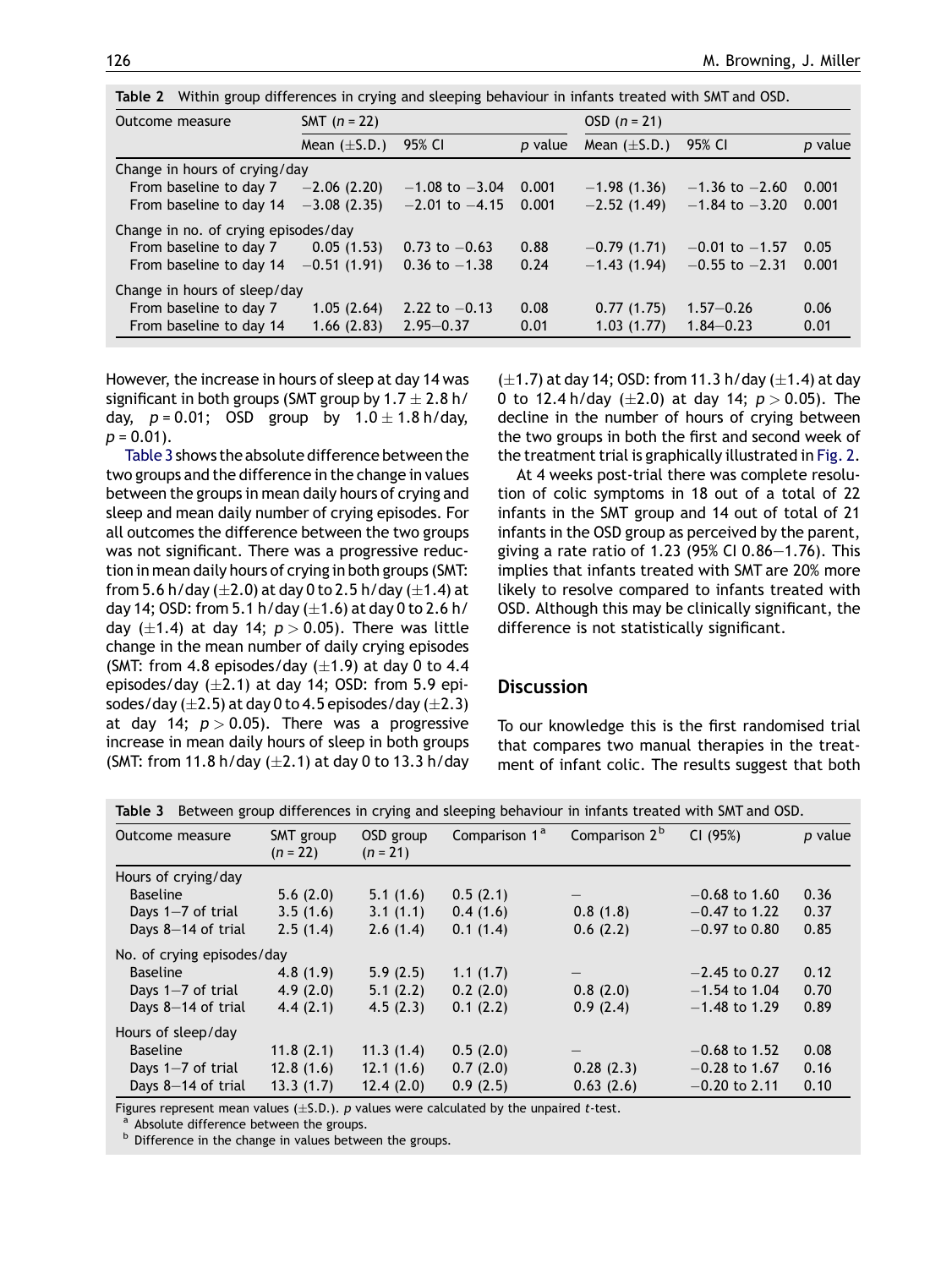<span id="page-4-0"></span>Table 2 Within group differences in crying and sleeping behaviour in infants treated with SMT and OSD.

| Outcome measure                      | SMT $(n = 22)$    |                    |         | OSD $(n = 21)$    |                    |           |  |
|--------------------------------------|-------------------|--------------------|---------|-------------------|--------------------|-----------|--|
|                                      | Mean $(\pm S.D.)$ | 95% CI             | p value | Mean $(\pm S.D.)$ | 95% CI             | $p$ value |  |
| Change in hours of crying/day        |                   |                    |         |                   |                    |           |  |
| From baseline to day 7               | $-2.06(2.20)$     | $-1.08$ to $-3.04$ | 0.001   | $-1.98(1.36)$     | $-1.36$ to $-2.60$ | 0.001     |  |
| From baseline to day 14              | $-3.08(2.35)$     | $-2.01$ to $-4.15$ | 0.001   | $-2.52(1.49)$     | $-1.84$ to $-3.20$ | 0.001     |  |
| Change in no. of crying episodes/day |                   |                    |         |                   |                    |           |  |
| From baseline to day 7               | 0.05(1.53)        | 0.73 to $-0.63$    | 0.88    | $-0.79(1.71)$     | $-0.01$ to $-1.57$ | 0.05      |  |
| From baseline to day 14              | $-0.51(1.91)$     | 0.36 to $-1.38$    | 0.24    | $-1.43(1.94)$     | $-0.55$ to $-2.31$ | 0.001     |  |
| Change in hours of sleep/day         |                   |                    |         |                   |                    |           |  |
| From baseline to day 7               | 1.05(2.64)        | 2.22 to $-0.13$    | 0.08    | 0.77(1.75)        | $1.57 - 0.26$      | 0.06      |  |
| From baseline to day 14              | 1.66(2.83)        | $2.95 - 0.37$      | 0.01    | 1.03(1.77)        | $1.84 - 0.23$      | 0.01      |  |
|                                      |                   |                    |         |                   |                    |           |  |

However, the increase in hours of sleep at day 14 was significant in both groups (SMT group by 1.7  $\pm$  2.8 h/ day,  $p$  = 0.01; OSD group by 1.0  $\pm$  1.8 h/day,  $p = 0.01$ .

Table 3 shows the absolute difference between the two groups and the difference in the change in values between the groups in mean daily hours of crying and sleep and mean daily number of crying episodes. For all outcomes the difference between the two groups was not significant. There was a progressive reduction in mean daily hours of crying in both groups (SMT: from 5.6 h/day ( $\pm$ 2.0) at day 0 to 2.5 h/day ( $\pm$ 1.4) at day 14; OSD: from 5.1 h/day ( $\pm$ 1.6) at day 0 to 2.6 h/ day ( $\pm$ 1.4) at day 14;  $p$   $>$  0.05). There was little change in the mean number of daily crying episodes (SMT: from 4.8 episodes/day  $(\pm 1.9)$  at day 0 to 4.4 episodes/day  $(\pm 2.1)$  at day 14; OSD: from 5.9 episodes/day ( $\pm$ 2.5) at day 0 to 4.5 episodes/day ( $\pm$ 2.3) at day 14;  $p > 0.05$ ). There was a progressive increase in mean daily hours of sleep in both groups (SMT: from 11.8 h/day ( $\pm$ 2.1) at day 0 to 13.3 h/day

 $(\pm 1.7)$  at day 14; OSD: from 11.3 h/day ( $\pm 1.4$ ) at day 0 to 12.4 h/day ( $\pm$ 2.0) at day 14;  $p$   $>$  0.05). The decline in the number of hours of crying between the two groups in both the first and second week of the treatment trial is graphically illustrated in [Fig. 2.](#page-5-0)

At 4 weeks post-trial there was complete resolution of colic symptoms in 18 out of a total of 22 infants in the SMT group and 14 out of total of 21 infants in the OSD group as perceived by the parent, giving a rate ratio of 1.23 (95% CI 0.86—1.76). This implies that infants treated with SMT are 20% more likely to resolve compared to infants treated with OSD. Although this may be clinically significant, the difference is not statistically significant.

# **Discussion**

To our knowledge this is the first randomised trial that compares two manual therapies in the treatment of infant colic. The results suggest that both

| Outcome measure            | SMT group<br>$(n = 22)$ | OSD group<br>$(n = 21)$ | Comparison 1 <sup>a</sup> | Comparison 2 <sup>b</sup> | CI (95%)        | p value |
|----------------------------|-------------------------|-------------------------|---------------------------|---------------------------|-----------------|---------|
| Hours of crying/day        |                         |                         |                           |                           |                 |         |
| <b>Baseline</b>            | 5.6(2.0)                | 5.1(1.6)                | 0.5(2.1)                  |                           | $-0.68$ to 1.60 | 0.36    |
| Days $1-7$ of trial        | 3.5(1.6)                | 3.1(1.1)                | 0.4(1.6)                  | 0.8(1.8)                  | $-0.47$ to 1.22 | 0.37    |
| Days $8-14$ of trial       | 2.5(1.4)                | 2.6(1.4)                | 0.1(1.4)                  | 0.6(2.2)                  | $-0.97$ to 0.80 | 0.85    |
| No. of crying episodes/day |                         |                         |                           |                           |                 |         |
| <b>Baseline</b>            | 4.8(1.9)                | 5.9(2.5)                | 1.1(1.7)                  |                           | $-2.45$ to 0.27 | 0.12    |
| Days $1-7$ of trial        | 4.9(2.0)                | 5.1(2.2)                | 0.2(2.0)                  | 0.8(2.0)                  | $-1.54$ to 1.04 | 0.70    |
| Days $8-14$ of trial       | 4.4(2.1)                | 4.5(2.3)                | 0.1(2.2)                  | 0.9(2.4)                  | $-1.48$ to 1.29 | 0.89    |
| Hours of sleep/day         |                         |                         |                           |                           |                 |         |
| <b>Baseline</b>            | 11.8(2.1)               | 11.3(1.4)               | 0.5(2.0)                  |                           | $-0.68$ to 1.52 | 0.08    |
| Days $1-7$ of trial        | 12.8(1.6)               | 12.1(1.6)               | 0.7(2.0)                  | 0.28(2.3)                 | $-0.28$ to 1.67 | 0.16    |
| Days $8-14$ of trial       | 13.3(1.7)               | 12.4(2.0)               | 0.9(2.5)                  | 0.63(2.6)                 | $-0.20$ to 2.11 | 0.10    |

Table 3 Between group differences in crying and sleeping behaviour in infants treated with SMT and OSD.

Figures represent mean values ( $\pm$ S.D.). p values were calculated by the unpaired *t*-test.<br><sup>a</sup> Absolute difference between the groups.<br><sup>b</sup> Difference in the change in values between the groups.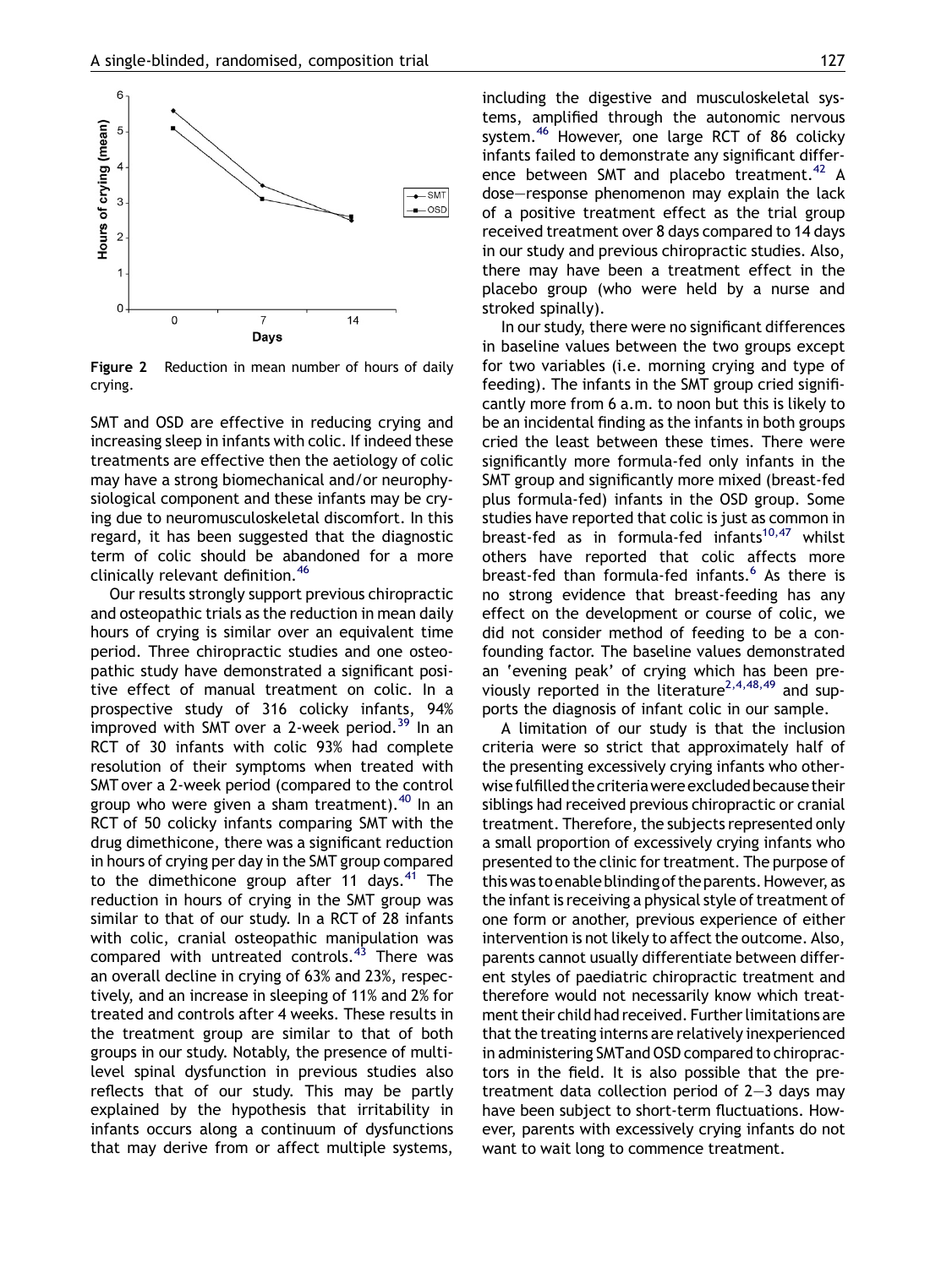<span id="page-5-0"></span>

Figure 2 Reduction in mean number of hours of daily crying.

SMT and OSD are effective in reducing crying and increasing sleep in infants with colic. If indeed these treatments are effective then the aetiology of colic may have a strong biomechanical and/or neurophysiological component and these infants may be crying due to neuromusculoskeletal discomfort. In this regard, it has been suggested that the diagnostic term of colic should be abandoned for a more clinically relevant definition.[46](#page-7-0)

Our results strongly support previous chiropractic and osteopathic trials as the reduction in mean daily hours of crying is similar over an equivalent time period. Three chiropractic studies and one osteopathic study have demonstrated a significant positive effect of manual treatment on colic. In a prospective study of 316 colicky infants, 94% improved with SMT over a 2-week period.<sup>[39](#page-7-0)</sup> In an RCT of 30 infants with colic 93% had complete resolution of their symptoms when treated with SMT over a 2-week period (compared to the control group who were given a sham treatment).  $40 \text{ ln}$  $40 \text{ ln}$  an RCT of 50 colicky infants comparing SMT with the drug dimethicone, there was a significant reduction in hours of crying per day in the SMT group compared to the dimethicone group after 11 days.<sup>[41](#page-7-0)</sup> The reduction in hours of crying in the SMT group was similar to that of our study. In a RCT of 28 infants with colic, cranial osteopathic manipulation was compared with untreated controls. $43$  There was an overall decline in crying of 63% and 23%, respectively, and an increase in sleeping of 11% and 2% for treated and controls after 4 weeks. These results in the treatment group are similar to that of both groups in our study. Notably, the presence of multilevel spinal dysfunction in previous studies also reflects that of our study. This may be partly explained by the hypothesis that irritability in infants occurs along a continuum of dysfunctions that may derive from or affect multiple systems, including the digestive and musculoskeletal systems, amplified through the autonomic nervous system.<sup>[46](#page-7-0)</sup> However, one large RCT of 86 colicky infants failed to demonstrate any significant difference between SMT and placebo treatment.<sup>42</sup> A dose—response phenomenon may explain the lack of a positive treatment effect as the trial group received treatment over 8 days compared to 14 days in our study and previous chiropractic studies. Also, there may have been a treatment effect in the placebo group (who were held by a nurse and stroked spinally).

In our study, there were no significant differences in baseline values between the two groups except for two variables (i.e. morning crying and type of feeding). The infants in the SMT group cried significantly more from 6 a.m. to noon but this is likely to be an incidental finding as the infants in both groups cried the least between these times. There were significantly more formula-fed only infants in the SMT group and significantly more mixed (breast-fed plus formula-fed) infants in the OSD group. Some studies have reported that colic is just as common in breast-fed as in formula-fed infants<sup>[10,47](#page-6-0)</sup> whilst others have reported that colic affects more breast-fed than formula-fed infants.<sup>[6](#page-6-0)</sup> As there is no strong evidence that breast-feeding has any effect on the development or course of colic, we did not consider method of feeding to be a confounding factor. The baseline values demonstrated an 'evening peak' of crying which has been pre-viously reported in the literature<sup>[2,4,48,49](#page-6-0)</sup> and supports the diagnosis of infant colic in our sample.

A limitation of our study is that the inclusion criteria were so strict that approximately half of the presenting excessively crying infants who otherwise fulfilled thecriteriawere excluded because their siblings had received previous chiropractic or cranial treatment. Therefore, the subjects represented only a small proportion of excessively crying infants who presented to the clinic for treatment. The purpose of this was to enable blinding of the parents.However, as the infant is receiving a physical style of treatment of one form or another, previous experience of either intervention is not likely to affect the outcome. Also, parents cannot usually differentiate between different styles of paediatric chiropractic treatment and therefore would not necessarily know which treatment their child had received. Further limitations are that the treating interns are relatively inexperienced in administering SMTand OSD compared to chiropractors in the field. It is also possible that the pretreatment data collection period of 2—3 days may have been subject to short-term fluctuations. However, parents with excessively crying infants do not want to wait long to commence treatment.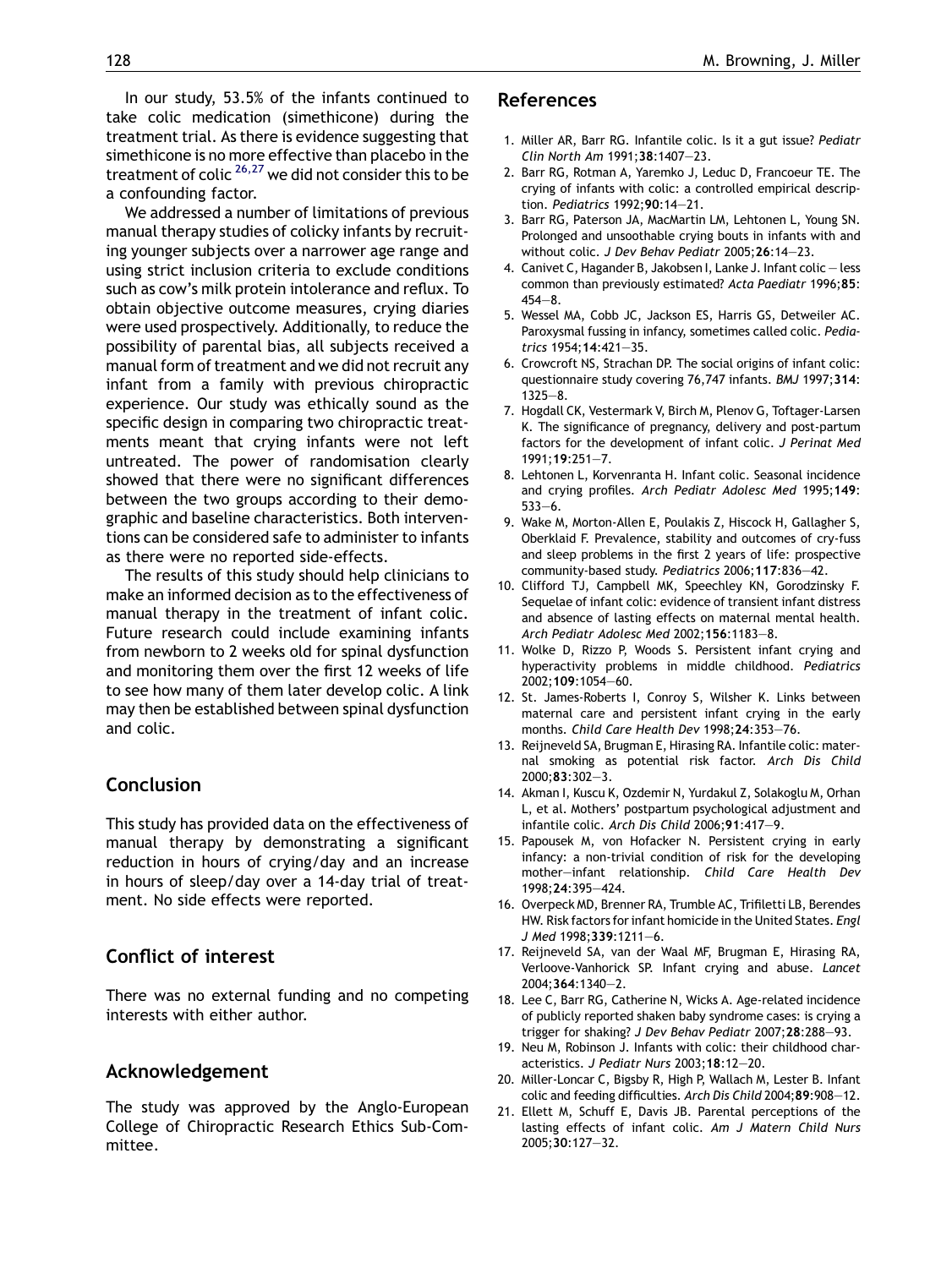<span id="page-6-0"></span>In our study, 53.5% of the infants continued to take colic medication (simethicone) during the treatment trial. As there is evidence suggesting that simethicone is no more effective than placebo in the treatment of colic <sup>[26,27](#page-7-0)</sup> we did not consider this to be a confounding factor.

We addressed a number of limitations of previous manual therapy studies of colicky infants by recruiting younger subjects over a narrower age range and using strict inclusion criteria to exclude conditions such as cow's milk protein intolerance and reflux. To obtain objective outcome measures, crying diaries were used prospectively. Additionally, to reduce the possibility of parental bias, all subjects received a manual form of treatment and we did not recruit any infant from a family with previous chiropractic experience. Our study was ethically sound as the specific design in comparing two chiropractic treatments meant that crying infants were not left untreated. The power of randomisation clearly showed that there were no significant differences between the two groups according to their demographic and baseline characteristics. Both interventions can be considered safe to administer to infants as there were no reported side-effects.

The results of this study should help clinicians to make an informed decision as to the effectiveness of manual therapy in the treatment of infant colic. Future research could include examining infants from newborn to 2 weeks old for spinal dysfunction and monitoring them over the first 12 weeks of life to see how many of them later develop colic. A link may then be established between spinal dysfunction and colic.

# Conclusion

This study has provided data on the effectiveness of manual therapy by demonstrating a significant reduction in hours of crying/day and an increase in hours of sleep/day over a 14-day trial of treatment. No side effects were reported.

# Conflict of interest

There was no external funding and no competing interests with either author.

# Acknowledgement

The study was approved by the Anglo-European College of Chiropractic Research Ethics Sub-Committee.

# References

- 1. Miller AR, Barr RG. Infantile colic. Is it a gut issue? Pediatr Clin North Am 1991;38:1407—23.
- 2. Barr RG, Rotman A, Yaremko J, Leduc D, Francoeur TE. The crying of infants with colic: a controlled empirical description. Pediatrics 1992;90:14—21.
- 3. Barr RG, Paterson JA, MacMartin LM, Lehtonen L, Young SN. Prolonged and unsoothable crying bouts in infants with and without colic. J Dev Behav Pediatr 2005;26:14—23.
- 4. Canivet C, Hagander B, Jakobsen I, Lanke J. Infant colic less common than previously estimated? Acta Paediatr 1996;85: 454—8.
- 5. Wessel MA, Cobb JC, Jackson ES, Harris GS, Detweiler AC. Paroxysmal fussing in infancy, sometimes called colic. Pediatrics 1954;14:421—35.
- 6. Crowcroft NS, Strachan DP. The social origins of infant colic: questionnaire study covering 76,747 infants. BMJ 1997;314: 1325—8.
- 7. Hogdall CK, Vestermark V, Birch M, Plenov G, Toftager-Larsen K. The significance of pregnancy, delivery and post-partum factors for the development of infant colic. J Perinat Med 1991;19:251—7.
- 8. Lehtonen L, Korvenranta H. Infant colic. Seasonal incidence and crying profiles. Arch Pediatr Adolesc Med 1995;149: 533—6.
- 9. Wake M, Morton-Allen E, Poulakis Z, Hiscock H, Gallagher S, Oberklaid F. Prevalence, stability and outcomes of cry-fuss and sleep problems in the first 2 years of life: prospective community-based study. Pediatrics 2006;117:836—42.
- 10. Clifford TJ, Campbell MK, Speechley KN, Gorodzinsky F. Sequelae of infant colic: evidence of transient infant distress and absence of lasting effects on maternal mental health. Arch Pediatr Adolesc Med 2002;156:1183—8.
- 11. Wolke D, Rizzo P, Woods S. Persistent infant crying and hyperactivity problems in middle childhood. Pediatrics 2002;109:1054—60.
- 12. St. James-Roberts I, Conroy S, Wilsher K. Links between maternal care and persistent infant crying in the early months. Child Care Health Dev 1998;24:353—76.
- 13. Reijneveld SA, Brugman E, Hirasing RA. Infantile colic: maternal smoking as potential risk factor. Arch Dis Child 2000;83:302—3.
- 14. Akman I, Kuscu K, Ozdemir N, Yurdakul Z, Solakoglu M, Orhan L, et al. Mothers' postpartum psychological adjustment and infantile colic. Arch Dis Child 2006;91:417—9.
- 15. Papousek M, von Hofacker N. Persistent crying in early infancy: a non-trivial condition of risk for the developing mother—infant relationship. Child Care Health Dev 1998;24:395—424.
- 16. Overpeck MD, Brenner RA, Trumble AC, Trifiletti LB, Berendes HW. Risk factors for infant homicide in the United States. Engl J Med 1998;339:1211—6.
- 17. Reijneveld SA, van der Waal MF, Brugman E, Hirasing RA, Verloove-Vanhorick SP. Infant crying and abuse. Lancet 2004;364:1340—2.
- 18. Lee C, Barr RG, Catherine N, Wicks A. Age-related incidence of publicly reported shaken baby syndrome cases: is crying a trigger for shaking? J Dev Behav Pediatr 2007;28:288-93.
- 19. Neu M, Robinson J. Infants with colic: their childhood characteristics. J Pediatr Nurs 2003;18:12—20.
- 20. Miller-Loncar C, Bigsby R, High P, Wallach M, Lester B. Infant colic and feeding difficulties. Arch Dis Child 2004;89:908—12.
- 21. Ellett M, Schuff E, Davis JB. Parental perceptions of the lasting effects of infant colic. Am J Matern Child Nurs 2005;30:127—32.